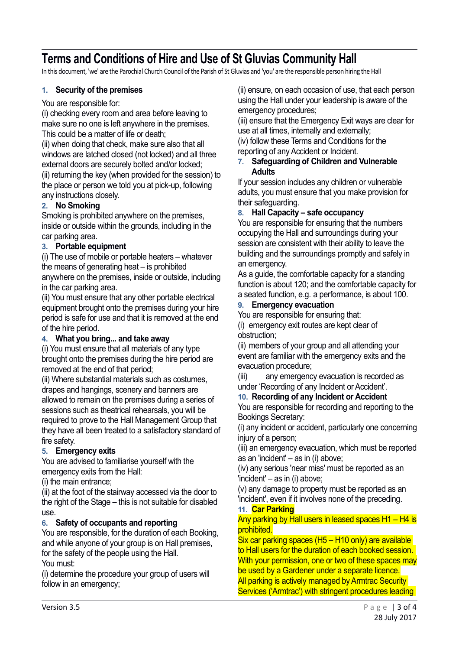# **Terms and Conditions of Hire and Use of St Gluvias Community Hall**

In this document, 'we' are the Parochial Church Council of the Parish of St Gluvias and 'you' are the responsible person hiring the Hall

# **1. Security of the premises**

You are responsible for:

(i) checking every room and area before leaving to make sure no one is left anywhere in the premises. This could be a matter of life or death;

(ii) when doing that check, make sure also that all windows are latched closed (not locked) and all three external doors are securely bolted and/or locked; (ii) returning the key (when provided for the session) to the place or person we told you at pick-up, following any instructions closely.

# **2. No Smoking**

Smoking is prohibited anywhere on the premises, inside or outside within the grounds, including in the car parking area.

# **3. Portable equipment**

(i) The use of mobile or portable heaters – whatever the means of generating heat – is prohibited anywhere on the premises, inside or outside, including in the car parking area.

(ii) You must ensure that any other portable electrical equipment brought onto the premises during your hire period is safe for use and that it is removed at the end of the hire period.

# **4. What you bring... and take away**

(i) You must ensure that all materials of any type brought onto the premises during the hire period are removed at the end of that period;

(ii) Where substantial materials such as costumes, drapes and hangings, scenery and banners are allowed to remain on the premises during a series of sessions such as theatrical rehearsals, you will be required to prove to the Hall Management Group that they have all been treated to a satisfactory standard of fire safety.

# **5. Emergency exits**

You are advised to familiarise yourself with the emergency exits from the Hall:

(i) the main entrance;

(ii) at the foot of the stairway accessed via the door to the right of the Stage – this is not suitable for disabled use.

# **6. Safety of occupants and reporting**

You are responsible, for the duration of each Booking, and while anyone of your group is on Hall premises, for the safety of the people using the Hall. You must:

(i) determine the procedure your group of users will follow in an emergency;

(ii) ensure, on each occasion of use, that each person using the Hall under your leadership is aware of the emergency procedures;

(iii) ensure that the Emergency Exit ways are clear for use at all times, internally and externally;

(iv) follow these Terms and Conditions for the reporting of any Accident or Incident.

# **7. Safeguarding of Children and Vulnerable Adults**

If your session includes any children or vulnerable adults, you must ensure that you make provision for their safeguarding.

# **8. Hall Capacity – safe occupancy**

You are responsible for ensuring that the numbers occupying the Hall and surroundings during your session are consistent with their ability to leave the building and the surroundings promptly and safely in an emergency.

As a guide, the comfortable capacity for a standing function is about 120; and the comfortable capacity for a seated function, e.g. a performance, is about 100.

# **9. Emergency evacuation**

You are responsible for ensuring that:

(i) emergency exit routes are kept clear of obstruction;

(ii) members of your group and all attending your event are familiar with the emergency exits and the evacuation procedure;

(iii) any emergency evacuation is recorded as under 'Recording of any Incident or Accident'.

# **10. Recording of any Incident or Accident**

You are responsible for recording and reporting to the Bookings Secretary:

(i) any incident or accident, particularly one concerning injury of a person;

(iii) an emergency evacuation, which must be reported as an 'incident' – as in  $(i)$  above;

(iv) any serious 'near miss' must be reported as an 'incident' – as in (i) above;

(v) any damage to property must be reported as an 'incident', even if it involves none of the preceding.

#### **11. Car Parking**

# Any parking by Hall users in leased spaces H1 – H4 is prohibited.

Six car parking spaces (H5 – H10 only) are available to Hall users for the duration of each booked session. With your permission, one or two of these spaces may be used by a Gardener under a separate licence. All parking is actively managed by Armtrac Security Services ('Armtrac') with stringent procedures leading